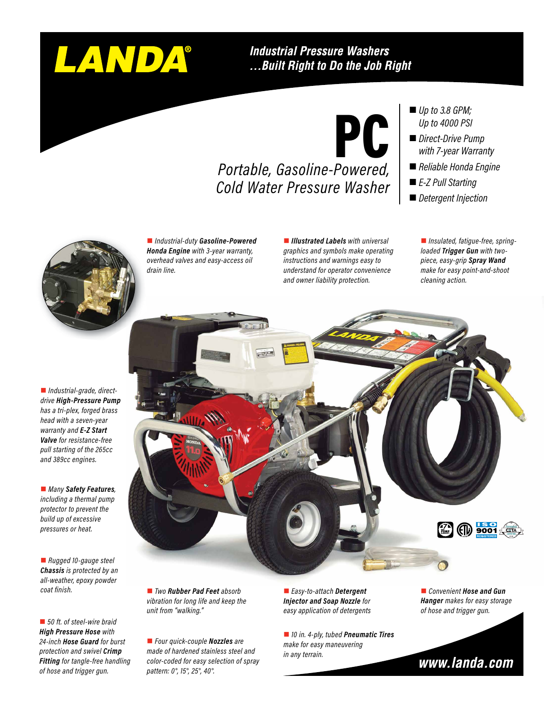

#### **Industrial Pressure Washers** ...Built Right to Do the Job Right

# PC | *Portable, Gasoline-Powered, Cold Water Pressure Washer*



- *Direct-Drive Pump with 7-year Warranty*
- *Reliable Honda Engine*
- *E-Z Pull Starting*
- *Detergent Injection*

n *Insulated, fatigue-free, springloaded Trigger Gun with twopiece, easy-grip Spray Wand make for easy point-and-shoot cleaning action.*



n *Industrial-duty Gasoline-Powered Honda Engine with 3-year warranty, overhead valves and easy-access oil drain line.*

n *Illustrated Labels with universal graphics and symbols make operating instructions and warnings easy to understand for operator convenience and owner liability protection.*

■ *Industrial-grade*, direct*drive High-Pressure Pump has a tri-plex, forged brass head with a seven-year warranty and E-Z Start Valve for resistance-free pull starting of the 265cc and 389cc engines.*

■ *Many Safety Features*, *including a thermal pump protector to prevent the build up of excessive pressures or heat.*

n *Rugged 10-gauge steel Chassis is protected by an all-weather, epoxy powder coat finish.*

■ 50 ft. of steel-wire braid *High Pressure Hose with 24-inch Hose Guard for burst protection and swivel Crimp Fitting for tangle-free handling of hose and trigger gun.*



■ *Two Rubber Pad Feet* absorb *vibration for long life and keep the unit from "walking."*

■ *Four quick-couple Nozzles* are *made of hardened stainless steel and color-coded for easy selection of spray pattern: 0°, 15°, 25°, 40°.*

■ *Easy-to-attach* Detergent *Injector and Soap Nozzle for easy application of detergents*

n *10 in. 4-ply, tubed Pneumatic Tires make for easy maneuvering in any terrain.*

**n** *Convenient Hose and Gun Hanger makes for easy storage of hose and trigger gun.*